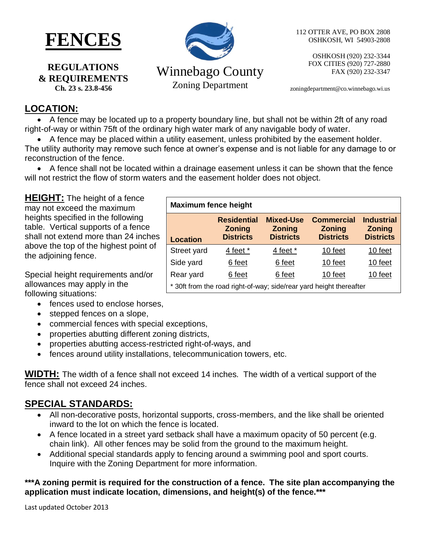

**REGULATIONS & REQUIREMENTS Ch. 23 s. 23.8-456**

# Winnebago County Zoning Department

112 OTTER AVE, PO BOX 2808 OSHKOSH, WI 54903-2808

> OSHKOSH (920) 232-3344 FOX CITIES (920) 727-2880 FAX (920) 232-3347

zoningdepartment@co.winnebago.wi.us

## **LOCATION:**

 A fence may be located up to a property boundary line, but shall not be within 2ft of any road right-of-way or within 75ft of the ordinary high water mark of any navigable body of water.

A fence may be placed within a utility easement, unless prohibited by the easement holder.

The utility authority may remove such fence at owner's expense and is not liable for any damage to or reconstruction of the fence.

 A fence shall not be located within a drainage easement unless it can be shown that the fence will not restrict the flow of storm waters and the easement holder does not object.

**HEIGHT:** The height of a fence may not exceed the maximum heights specified in the following table. Vertical supports of a fence shall not extend more than 24 inches above the top of the highest point of the adjoining fence.

Special height requirements and/or allowances may apply in the following situations:

- fences used to enclose horses,
- stepped fences on a slope,
- commercial fences with special exceptions,
- properties abutting different zoning districts,
- properties abutting access-restricted right-of-ways, and
- fences around utility installations, telecommunication towers, etc.

**WIDTH:** The width of a fence shall not exceed 14 inches. The width of a vertical support of the fence shall not exceed 24 inches.

# **SPECIAL STANDARDS:**

- All non-decorative posts, horizontal supports, cross-members, and the like shall be oriented inward to the lot on which the fence is located.
- A fence located in a street yard setback shall have a maximum opacity of 50 percent (e.g. chain link). All other fences may be solid from the ground to the maximum height.
- Additional special standards apply to fencing around a swimming pool and sport courts. Inquire with the Zoning Department for more information.

#### **\*\*\*A zoning permit is required for the construction of a fence. The site plan accompanying the application must indicate location, dimensions, and height(s) of the fence.\*\*\***

Last updated October 2013

| <b>Maximum fence height</b>                                         |                                                         |                                                       |                                                        |                                                        |
|---------------------------------------------------------------------|---------------------------------------------------------|-------------------------------------------------------|--------------------------------------------------------|--------------------------------------------------------|
| <b>Location</b>                                                     | <b>Residential</b><br><b>Zoning</b><br><b>Districts</b> | <b>Mixed-Use</b><br><b>Zoning</b><br><b>Districts</b> | <b>Commercial</b><br><b>Zoning</b><br><b>Districts</b> | <b>Industrial</b><br><b>Zoning</b><br><b>Districts</b> |
| Street yard                                                         | 4 feet *                                                | 4 feet *                                              | 10 feet                                                | 10 feet                                                |
| Side yard                                                           | 6 feet                                                  | 6 feet                                                | 10 feet                                                | 10 feet                                                |
| Rear yard                                                           | 6 feet                                                  | 6 feet                                                | 10 feet                                                | 10 feet                                                |
| * 30ft from the road right-of-way; side/rear yard height thereafter |                                                         |                                                       |                                                        |                                                        |